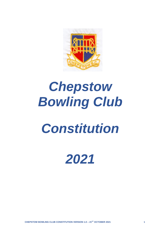

# *Chepstow Bowling Club*

## *Constitution*

### *2021*

**CHEPSTOW BOWLING CLUB CONSTITUTION VERSION 1.0 – 21ST OCTOBER 2021 1**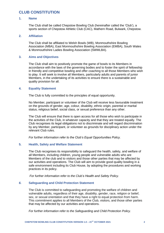### **CLUB CONSTITUTION**

#### **1. Name**

The Club shall be called Chepstow Bowling Club (hereinafter called the 'Club'), a sports section of Chepstow Athletic Club (CAC), Mathern Road, Bulwark, Chepstow.

#### **2. Affiliation**

The Club shall be affiliated to Welsh Bowls (WB), Monmouthshire Bowling Association (MBA), East Monmouthshire Bowling Association (EMBA), South Wales & Monmouthshire Ladies Bowling Association (SWMLBA).

#### **3. Aims and Objectives**

The Club shall aim to positively promote the game of bowls to its Members in accordance with the laws of the governing bodies and to foster the spirit of fellowship in friendly and competitive bowling and offer coaching to all those Members who wish to play. It will seek to involve all Members, particularly adults and parents of junior Members, in the undertaking of its activities to ensure there is a sustainable and quality provision for all.

#### **4. Equality Statement**

The Club is fully committed to the principles of equal opportunity.

No Member, participant or volunteer of the Club will receive less favourable treatment on the grounds of gender, age, colour, disability, ethnic origin, parental or marital status, religious belief, social class, or sexual preference than any other.

The Club will ensure that there is open access for all those who wish to participate in the activities of the Club, in whatever capacity and that they are treated equally. The Club recognises its legal obligations not to discriminate and will regard discrimination by any Member, participant, or volunteer as grounds for disciplinary action under the relevant Club rules.

*For further information refer to the Club's Equal Opportunities Policy.*

#### **5. Health, Safety and Welfare Statement**

The Club recognises its responsibility to safeguard the health, safety, and welfare of all Members, including children, young people and vulnerable adults who are Members of the club and to visitors and those other parties that may be affected by our activities and operations. The Club will aim to provide good quality bowling in a safe environment including its Club House, by adopting the procedures and working practices in its policy.

*For further information refer to the Club's Health and Safety Policy.*

#### *6.* **Safeguarding and Child Protection Statement**

The Club is committed to safeguarding and promoting the welfare of children and vulnerable adults, regardless of their age, disability, gender, race, religion or belief, sex, or sexual orientation and that they have a right to equal protection from harm. This commitment applies to all Members of the Club, visitors, and those other parties that may be affected by our activities and operations.

*For further information refer to the Safeguarding and Child Protection Policy.*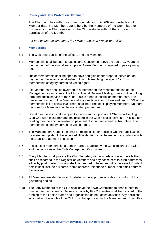#### **7. Privacy and Data Protection Statement**

The Club complies with government guidelines on GDPR and protection of Member data. No Member data is held by the Members of the Committee or displayed in the Clubhouse or on the Club website without the express permission of the Member.

*For further information refer to the Privacy and Data Protection Policy.*

#### **8. Membership**

- 8.1 The Club shall consist of the Officers and the Members.
- 8.2 Membership shall be open to Ladies and Gentlemen above the age of 17 years on the payment of the annual subscription. A new Member is required to pay a joining fee.
- 8.3 Junior membership shall be open to boys and girls under proper supervision, on payment of the junior annual subscription until reaching the age of 17. This membership category carries no voting rights.
- 8.4 Life Membership shall be awarded to a Member on the recommendation of the Management Committee at the Club's Annual General Meeting in recognition of long term and dutiful service to the Club. This is a non-subscription membership. The maximum number of Life Members at any one time shall not exceed ten or 10% of the membership if it is below 100. There shall be a limit of six playing Members. No more than one Life Member shall be nominated per annum.
- 8.5 Social membership shall be open to friends and supporters of Chepstow Bowling Club who wish to support and be included in the Club's social activities. This is a nonbowling membership, available on payment of a nominal annual subscription. This membership category carries no voting rights.
- 8.6 The Management Committee shall be responsible for deciding whether applications for membership should be accepted. This decision shall be made in accordance with the Equality Statement in section 4.
- 8.7 In accepting membership, a person agrees to abide by the Constitution of the Club and the decisions of the Club Management Committee
- 8.8 Every Member shall provide the Club Secretary with up-to-date contact details that shall be recorded in the Register of Members and any notice sent to such addresses, either by post or electronically shall be deemed to have been duly delivered. Contact details shall include full name, home address, telephone number, and email address if available.
- 8.9 All Members are also required to abide by the appropriate codes of conduct of the governing bodies.
- 8.10 The Lady Members of the Club shall have their own Committee to enable them to pursue their own agenda. Decisions made by this Committee shall be confined to the running of the Ladies teams and organisation of the Ladies activities. Any decisions which affect the whole of the Club must be approved by the Management Committee.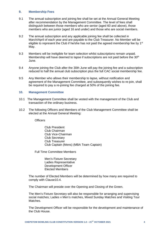#### **9. Membership Fees**

- 9.1 The annual subscription and joining fee shall be set at the Annual General Meeting after recommendation by the Management Committee. The level of fees shall distinguish between those members who are senior (aged 60 and above), those members who are junior (aged 16 and under) and those who are social members.
- 9.2 The annual subscription and any applicable joining fee shall be collected in March/April of each year and are payable to the Club Treasurer. No Member will be eligible to represent the Club if he/she has not paid the agreed membership fee by 1<sup>st</sup> May.
- 9.3 Members will be ineligible for team selection whilst subscriptions remain unpaid. Membership will have deemed to lapse if subscriptions are not paid before the 30<sup>th</sup> June.
- 9.4 Anyone joining the Club after the 30th June will pay the joining fee and a subscription reduced to half the annual club subscription plus the full CAC social membership fee.
- 9.5 Any Member who allows their membership to lapse, without notification and agreement of the Management Committee, and subsequently wishes to re-join, shall be required to pay a re-joining fee charged at 50% of the joining fee.

#### **10. Management Committee**

- 10.1 The Management Committee shall be vested with the management of the Club and transaction of the ordinary business.
- 10.2 The following Officers and Members of the Club Management Committee shall be elected at the Annual General Meeting:

**Officers** 

Club President Club Chairman Club Vice-Chairman Club Secretary Club Treasurer Club Captain (Mens) (MBA Team Captain)

Full Time Committee Members

Men's Fixture Secretary Ladies Representative Development Officer Elected Members

The number of Elected Members will be determined by how many are required to comply with Clause10.4.

The Chairman will preside over the Opening and Closing of the Green.

The Men's Fixture Secretary will also be responsible for arranging and supervising social matches; Ladies v Men's matches, Mixed Sunday Matches and Visiting Tour Matches.

The Development Officer will be responsible for the development and maintenance of the Club House.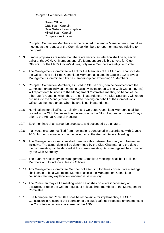Co-opted Committee Members

Green Officer GBL Team Captain Over Sixties Team Captain Mixed Team Captain Competitions Officer

Co-opted Committee Members may be required to attend a Management Committee meeting at the request of the Committee Members to report on matters relating to their post.

- 10.3 If more proposals are made than there are vacancies, election shall be by secret ballot at the AGM. All Members and Life Members are eligible to vote for Club Officers. For the Men's Officer's duties, only male Members are eligible to vote.
- 10.4 The Management Committee will act for the Members of the Club and shall include the Officers and Full Time Committee Members as stated in Clause 10.2 to give a Management Committee full time membership not exceeding 11 Members.
- 10.5 Co-opted Committee Members, as listed in Clause 10.2, can be co-opted onto the Committee on an individual meeting basis by invitation only. The Club Captain (Mens) will report team business to the Management Committee meeting on behalf of the other Men's Captains when they are not in attendance. The Club Secretary will report business to the Management Committee meeting on behalf of the Competitions Officer as the need arises when he/she is not in attendance.
- 10.6 Nominations for all Officers, Full Time and Co-opted Committee Members shall be posted in the Club House and on the website by the 31st of August and close 7 days prior to the Annual General Meeting.
- 10.7 Each nominee shall agree, be proposed, and seconded by signature.
- 10.8 If all vacancies are not filled from nominations conducted in accordance with Clause 10.6., further nominations may be called for at the Annual General Meeting.
- 10.9 The Management Committee shall meet monthly between February and November inclusive. The actual date will be determined by the Club Chairman and the date of the next meeting will be decided at the current meeting. All meetings will be convened by the Club Secretary.
- 10.10 The quorum necessary for Management Committee meetings shall be 4 Full time Members and to include at least 2 Officers.
- 10.11 Any Management Committee Member not attending for three consecutive meetings shall cease to be a Committee Member, unless the Management Committee considers that any explanation tendered is satisfactory.
- 10.12 The Chairman may call a meeting when he or she considers it necessary or desirable, or upon the written request of at least three members of the Management **Committee**
- 10.13 The Management Committee shall be responsible for implementing the Club Constitution in relation to the operation of the club's affairs. Proposed amendments to the Constitution can only be agreed at the AGM.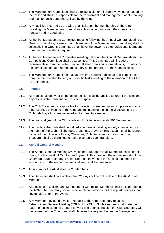- 10.14 The Management Committee shall be responsible for all property owned or leased by the Club and shall be responsible for the recruitment and management of all cleaning and maintenance personnel utilised by the Club.
- 10.15 Any liabilities incurred by the Club shall fall upon the membership of the Club providing the Management Committee acts in accordance with the Constitution, honestly and in good faith.
- 10.16 At the first Management Committee meeting following the Annual General Meeting a Greens Committee, consisting of 3 Members of the Management Committee, shall be selected. The Greens Committee shall have the power to co-opt additional Members from the membership if required.
- 10.17 At the first Management Committee meeting following the Annual General Meeting a Competitions Committee shall be appointed. This Committee will include a representative from the Ladies Section. It shall draw Club Competitions, fix dates for the completion of each round, and supervise the progress of the Competitions.
- 10.18 The Management Committee may at any time appoint additional Sub-committees from the membership to carry out specific tasks relating to the operation of the Club on their behalf.

#### **11. Finance**

- 11.1 All monies raised by, or on behalf of the club shall be applied to further the aims and objectives of the Club and for no other purpose.
- 11.2 The Club Treasurer is responsible for collecting membership subscriptions and any other sources of income to the Club and maintaining the financial accounts of the Club detailing all income received and expenditure made.
- 11.3 The financial year of the Club starts on  $1<sup>st</sup>$  October and ends  $30<sup>th</sup>$  September.
- 11.4 The funds of the Club shall be lodged at a bank or building society in an account in the name of the Club. All cheques, drafts, etc. drawn on this account shall be signed by two of the following officers, Chairman, Club Secretary or Treasurer. The Treasurer shall be permitted to make electronic bank transfers.

#### **12. Annual General Meeting**

- 12.1 The Annual General Meeting (AGM) of the Club, open to all Members, shall be held during the last week of October each year. At this meeting, the annual reports of the Chairman, Club Secretary, Ladies Representative, and the audited statement of accounts up to the end of the financial year shall be presented.
- 12.2 A quorum for the AGM shall be 20 Members.
- 12.3 The Secretary shall give no less than 21 days notice of the date of the AGM to all Members.
- 12.4 All elections of Officers and Management Committee Members shall be confirmed at the AGM. The Secretary should receive all nominations for these posts not less than seven days prior to the AGM.
- 12.5 Any Member may send a written request to the Club Secretary to call an Extraordinary General Meeting (EGM) of the Club. Such a request shall state the nature of business to be brought forward and upon its receipt, the Club Secretary with the consent of the Chairman, shall place such a request before the Management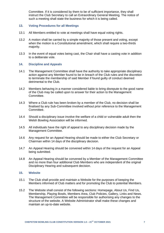Committee. If it is considered by them to be of sufficient importance, they shall instruct the Club Secretary to call an Extraordinary General Meeting. The notice of such a meeting shall state the business for which it is being called.

#### **13. Voting Procedures for all Meetings**

- 13.1 All Members entitled to vote at meetings shall have equal voting rights.
- 13.2 A motion shall be carried by a simple majority of those present and voting, except when the motion is a Constitutional amendment, which shall require a two-thirds majority.
- 13.3 In the event of equal votes being cast, the Chair shall have a casting vote in addition to a deliberate vote.

#### **14. Discipline and Appeals**

- 14.1 The Management Committee shall have the authority to take appropriate disciplinary action against any Member found to be in breach of the Club rules and the discretion to terminate the membership of said Member if found guilty of conduct deemed detrimental to the Club.
- 14.2 Members behaving in a manner considered liable to bring disrepute to the good name of the Club may be called upon to answer for their action to the Management Committee.
- 14.3 Where a Club rule has been broken by a member of the Club, no decision shall be finalised by any Sub-Committee involved without prior reference to the Management Committee.
- 14.4 Should a disciplinary issue involve the welfare of a child or vulnerable adult then the Welsh Bowling Association will be informed.
- 14.5 All individuals have the right of appeal to any disciplinary decision made by the Management Committee.
- 14.6 Any request for an Appeal Hearing should be made to either the Club Secretary or Chairman within 14 days of the disciplinary decision.
- 14.7 An Appeal Hearing should be convened within 14 days of the request for an Appeal being submitted.
- 14.8 An Appeal Hearing should be convened by a Member of the Management Committee and no more than four additional Club Members who are independent of the original Disciplinary Hearing and subsequent decision.

#### **15. Website**

- 15.1 The Club shall provide and maintain a Website for the purposes of keeping the Members informed of Club matters and for promoting the Club to potential Members.
- 15.2 The Website shall consist of the following sections: Homepage, About Us, Find Us, Membership, Playing Bowls, Members Area, Club Policies, Gallery, Links and News. The Management Committee will be responsible for authorising any changes to the structure of the website. A Website Administrator shall make these changes and maintain an up-to-date website.